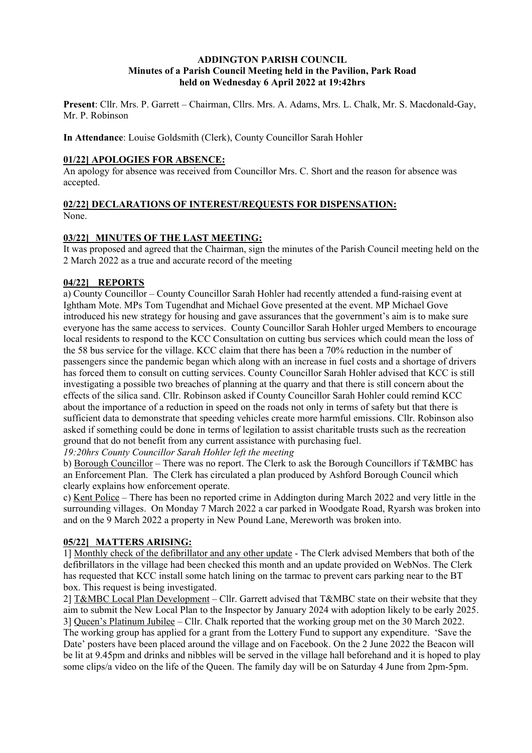#### **ADDINGTON PARISH COUNCIL Minutes of a Parish Council Meeting held in the Pavilion, Park Road held on Wednesday 6 April 2022 at 19:42hrs**

**Present**: Cllr. Mrs. P. Garrett – Chairman, Cllrs. Mrs. A. Adams, Mrs. L. Chalk, Mr. S. Macdonald-Gay, Mr. P. Robinson

**In Attendance**: Louise Goldsmith (Clerk), County Councillor Sarah Hohler

#### **01/22] APOLOGIES FOR ABSENCE:**

An apology for absence was received from Councillor Mrs. C. Short and the reason for absence was accepted.

# **02/22] DECLARATIONS OF INTEREST/REQUESTS FOR DISPENSATION:**

None.

# **03/22] MINUTES OF THE LAST MEETING:**

It was proposed and agreed that the Chairman, sign the minutes of the Parish Council meeting held on the 2 March 2022 as a true and accurate record of the meeting

# **04/22] REPORTS**

a) County Councillor – County Councillor Sarah Hohler had recently attended a fund-raising event at Ightham Mote. MPs Tom Tugendhat and Michael Gove presented at the event. MP Michael Gove introduced his new strategy for housing and gave assurances that the government's aim is to make sure everyone has the same access to services. County Councillor Sarah Hohler urged Members to encourage local residents to respond to the KCC Consultation on cutting bus services which could mean the loss of the 58 bus service for the village. KCC claim that there has been a 70% reduction in the number of passengers since the pandemic began which along with an increase in fuel costs and a shortage of drivers has forced them to consult on cutting services. County Councillor Sarah Hohler advised that KCC is still investigating a possible two breaches of planning at the quarry and that there is still concern about the effects of the silica sand. Cllr. Robinson asked if County Councillor Sarah Hohler could remind KCC about the importance of a reduction in speed on the roads not only in terms of safety but that there is sufficient data to demonstrate that speeding vehicles create more harmful emissions. Cllr. Robinson also asked if something could be done in terms of legilation to assist charitable trusts such as the recreation ground that do not benefit from any current assistance with purchasing fuel.

*19:20hrs County Councillor Sarah Hohler left the meeting*

b) Borough Councillor – There was no report. The Clerk to ask the Borough Councillors if T&MBC has an Enforcement Plan. The Clerk has circulated a plan produced by Ashford Borough Council which clearly explains how enforcement operate.

c) Kent Police – There has been no reported crime in Addington during March 2022 and very little in the surrounding villages. On Monday 7 March 2022 a car parked in Woodgate Road, Ryarsh was broken into and on the 9 March 2022 a property in New Pound Lane, Mereworth was broken into.

# **05/22] MATTERS ARISING:**

1] Monthly check of the defibrillator and any other update - The Clerk advised Members that both of the defibrillators in the village had been checked this month and an update provided on WebNos. The Clerk has requested that KCC install some hatch lining on the tarmac to prevent cars parking near to the BT box. This request is being investigated.

2] T&MBC Local Plan Development – Cllr. Garrett advised that T&MBC state on their website that they aim to submit the New Local Plan to the Inspector by January 2024 with adoption likely to be early 2025. 3] Queen's Platinum Jubilee – Cllr. Chalk reported that the working group met on the 30 March 2022. The working group has applied for a grant from the Lottery Fund to support any expenditure. 'Save the Date' posters have been placed around the village and on Facebook. On the 2 June 2022 the Beacon will be lit at 9.45pm and drinks and nibbles will be served in the village hall beforehand and it is hoped to play some clips/a video on the life of the Queen. The family day will be on Saturday 4 June from 2pm-5pm.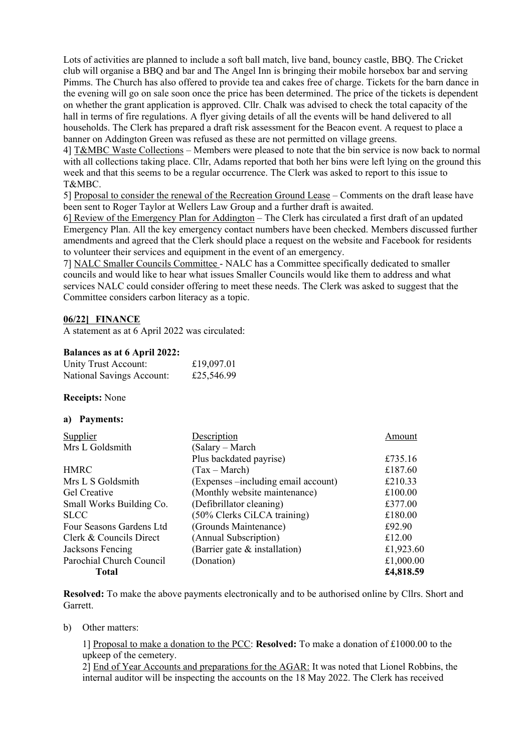Lots of activities are planned to include a soft ball match, live band, bouncy castle, BBQ. The Cricket club will organise a BBQ and bar and The Angel Inn is bringing their mobile horsebox bar and serving Pimms. The Church has also offered to provide tea and cakes free of charge. Tickets for the barn dance in the evening will go on sale soon once the price has been determined. The price of the tickets is dependent on whether the grant application is approved. Cllr. Chalk was advised to check the total capacity of the hall in terms of fire regulations. A flyer giving details of all the events will be hand delivered to all households. The Clerk has prepared a draft risk assessment for the Beacon event. A request to place a banner on Addington Green was refused as these are not permitted on village greens.

4] T&MBC Waste Collections – Members were pleased to note that the bin service is now back to normal with all collections taking place. Cllr, Adams reported that both her bins were left lying on the ground this week and that this seems to be a regular occurrence. The Clerk was asked to report to this issue to T&MBC.

5] Proposal to consider the renewal of the Recreation Ground Lease – Comments on the draft lease have been sent to Roger Taylor at Wellers Law Group and a further draft is awaited.

6] Review of the Emergency Plan for Addington – The Clerk has circulated a first draft of an updated Emergency Plan. All the key emergency contact numbers have been checked. Members discussed further amendments and agreed that the Clerk should place a request on the website and Facebook for residents to volunteer their services and equipment in the event of an emergency.

7] NALC Smaller Councils Committee - NALC has a Committee specifically dedicated to smaller councils and would like to hear what issues Smaller Councils would like them to address and what services NALC could consider offering to meet these needs. The Clerk was asked to suggest that the Committee considers carbon literacy as a topic.

#### **06/22] FINANCE**

A statement as at 6 April 2022 was circulated:

#### **Balances as at 6 April 2022:**

| Unity Trust Account:      | £19,097.01 |
|---------------------------|------------|
| National Savings Account: | £25,546.99 |

#### **Receipts:** None

#### **a) Payments:**

| Supplier                 | Description                          | Amount    |
|--------------------------|--------------------------------------|-----------|
| Mrs L Goldsmith          | (Salary – March                      |           |
|                          | Plus backdated payrise)              | £735.16   |
| <b>HMRC</b>              | $(Tax - March)$                      | £187.60   |
| Mrs L S Goldsmith        | (Expenses – including email account) | £210.33   |
| Gel Creative             | (Monthly website maintenance)        | £100.00   |
| Small Works Building Co. | (Defibrillator cleaning)             | £377.00   |
| <b>SLCC</b>              | (50% Clerks CiLCA training)          | £180.00   |
| Four Seasons Gardens Ltd | (Grounds Maintenance)                | £92.90    |
| Clerk & Councils Direct  | (Annual Subscription)                | £12.00    |
| Jacksons Fencing         | (Barrier gate & installation)        | £1,923.60 |
| Parochial Church Council | (Donation)                           | £1,000.00 |
| Total                    |                                      | £4,818.59 |

**Resolved:** To make the above payments electronically and to be authorised online by Cllrs. Short and Garrett.

#### b) Other matters:

1] Proposal to make a donation to the PCC: **Resolved:** To make a donation of £1000.00 to the upkeep of the cemetery.

2] End of Year Accounts and preparations for the AGAR: It was noted that Lionel Robbins, the internal auditor will be inspecting the accounts on the 18 May 2022. The Clerk has received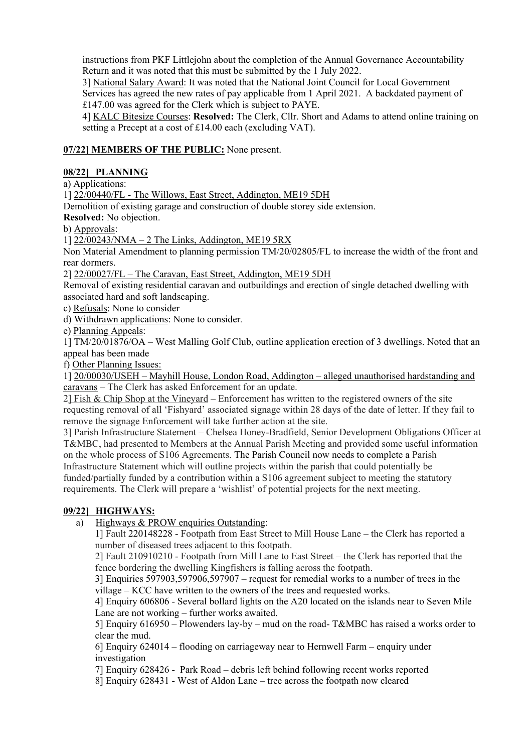instructions from PKF Littlejohn about the completion of the Annual Governance Accountability Return and it was noted that this must be submitted by the 1 July 2022.

3] National Salary Award: It was noted that the National Joint Council for Local Government Services has agreed the new rates of pay applicable from 1 April 2021. A backdated payment of £147.00 was agreed for the Clerk which is subject to PAYE.

4] KALC Bitesize Courses: **Resolved:** The Clerk, Cllr. Short and Adams to attend online training on setting a Precept at a cost of £14.00 each (excluding VAT).

# **07/22] MEMBERS OF THE PUBLIC:** None present.

# **08/22] PLANNING**

a) Applications:

1] 22/00440/FL - The Willows, East Street, Addington, ME19 5DH

Demolition of existing garage and construction of double storey side extension.

**Resolved:** No objection.

b) Approvals:

1] 22/00243/NMA – 2 The Links, Addington, ME19 5RX

Non Material Amendment to planning permission TM/20/02805/FL to increase the width of the front and rear dormers.

2] 22/00027/FL – The Caravan, East Street, Addington, ME19 5DH

Removal of existing residential caravan and outbuildings and erection of single detached dwelling with associated hard and soft landscaping.

c) Refusals: None to consider

d) Withdrawn applications: None to consider*.*

e) Planning Appeals:

1] TM/20/01876/OA – West Malling Golf Club, outline application erection of 3 dwellings. Noted that an appeal has been made

f) Other Planning Issues:

1] 20/00030/USEH – Mayhill House, London Road, Addington – alleged unauthorised hardstanding and caravans – The Clerk has asked Enforcement for an update.

2] Fish & Chip Shop at the Vineyard – Enforcement has written to the registered owners of the site requesting removal of all 'Fishyard' associated signage within 28 days of the date of letter. If they fail to remove the signage Enforcement will take further action at the site.

3] Parish Infrastructure Statement – Chelsea Honey-Bradfield, Senior Development Obligations Officer at T&MBC, had presented to Members at the Annual Parish Meeting and provided some useful information on the whole process of S106 Agreements. The Parish Council now needs to complete a Parish Infrastructure Statement which will outline projects within the parish that could potentially be funded/partially funded by a contribution within a S106 agreement subject to meeting the statutory requirements. The Clerk will prepare a 'wishlist' of potential projects for the next meeting.

#### **09/22] HIGHWAYS:**

a) Highways & PROW enquiries Outstanding:

1] Fault 220148228 - Footpath from East Street to Mill House Lane – the Clerk has reported a number of diseased trees adjacent to this footpath.

2] Fault 210910210 - Footpath from Mill Lane to East Street – the Clerk has reported that the fence bordering the dwelling Kingfishers is falling across the footpath.

3] Enquiries 597903,597906,597907 – request for remedial works to a number of trees in the village – KCC have written to the owners of the trees and requested works.

4] Enquiry 606806 - Several bollard lights on the A20 located on the islands near to Seven Mile Lane are not working – further works awaited.

5] Enquiry 616950 – Plowenders lay-by – mud on the road- T&MBC has raised a works order to clear the mud.

6] Enquiry 624014 – flooding on carriageway near to Hernwell Farm – enquiry under investigation

7] Enquiry 628426 - Park Road – debris left behind following recent works reported

8] Enquiry 628431 - West of Aldon Lane – tree across the footpath now cleared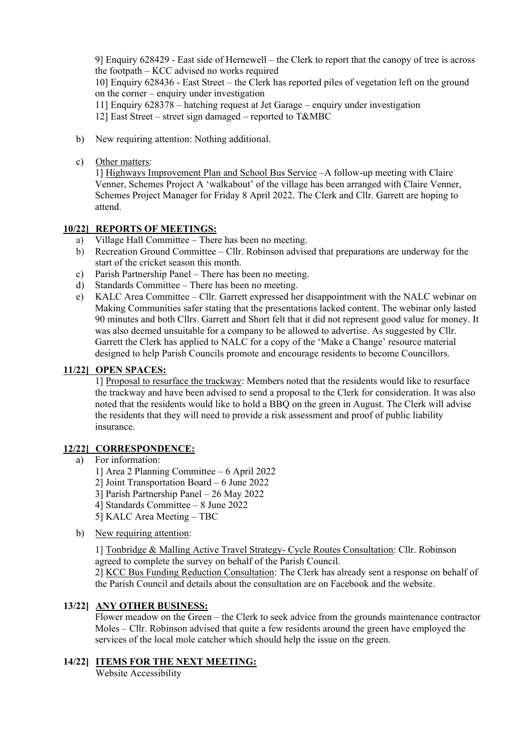9] Enquiry 628429 - East side of Hernewell – the Clerk to report that the canopy of tree is across the footpath – KCC advised no works required

10] Enquiry 628436 - East Street – the Clerk has reported piles of vegetation left on the ground on the corner – enquiry under investigation

11] Enquiry 628378 – hatching request at Jet Garage – enquiry under investigation

12] East Street – street sign damaged – reported to T&MBC

- b) New requiring attention: Nothing additional.
- c) Other matters:

1] Highways Improvement Plan and School Bus Service –A follow-up meeting with Claire Venner, Schemes Project A 'walkabout' of the village has been arranged with Claire Venner, Schemes Project Manager for Friday 8 April 2022. The Clerk and Cllr. Garrett are hoping to attend.

#### **10/22] REPORTS OF MEETINGS:**

- a) Village Hall Committee There has been no meeting.
- b) Recreation Ground Committee Cllr. Robinson advised that preparations are underway for the start of the cricket season this month.
- c) Parish Partnership Panel There has been no meeting.
- d) Standards Committee There has been no meeting.
- e) KALC Area Committee Cllr. Garrett expressed her disappointment with the NALC webinar on Making Communities safer stating that the presentations lacked content. The webinar only lasted 90 minutes and both Cllrs. Garrett and Short felt that it did not represent good value for money. It was also deemed unsuitable for a company to be allowed to advertise. As suggested by Cllr. Garrett the Clerk has applied to NALC for a copy of the 'Make a Change' resource material designed to help Parish Councils promote and encourage residents to become Councillors.

#### **11/22] OPEN SPACES:**

1] Proposal to resurface the trackway: Members noted that the residents would like to resurface the trackway and have been advised to send a proposal to the Clerk for consideration. It was also noted that the residents would like to hold a BBQ on the green in August. The Clerk will advise the residents that they will need to provide a risk assessment and proof of public liability insurance.

# **12/22] CORRESPONDENCE:**

- a) For information:
	- 1] Area 2 Planning Committee 6 April 2022
	- 2] Joint Transportation Board 6 June 2022
	- 3] Parish Partnership Panel 26 May 2022
	- 4] Standards Committee 8 June 2022
	- 5] KALC Area Meeting TBC
- b) New requiring attention:

1] Tonbridge & Malling Active Travel Strategy- Cycle Routes Consultation: Cllr. Robinson agreed to complete the survey on behalf of the Parish Council.

2] KCC Bus Funding Reduction Consultation: The Clerk has already sent a response on behalf of the Parish Council and details about the consultation are on Facebook and the website.

# **13/22] ANY OTHER BUSINESS:**

Flower meadow on the Green – the Clerk to seek advice from the grounds maintenance contractor Moles – Cllr. Robinson advised that quite a few residents around the green have employed the services of the local mole catcher which should help the issue on the green.

# **14/22] ITEMS FOR THE NEXT MEETING:**

Website Accessibility